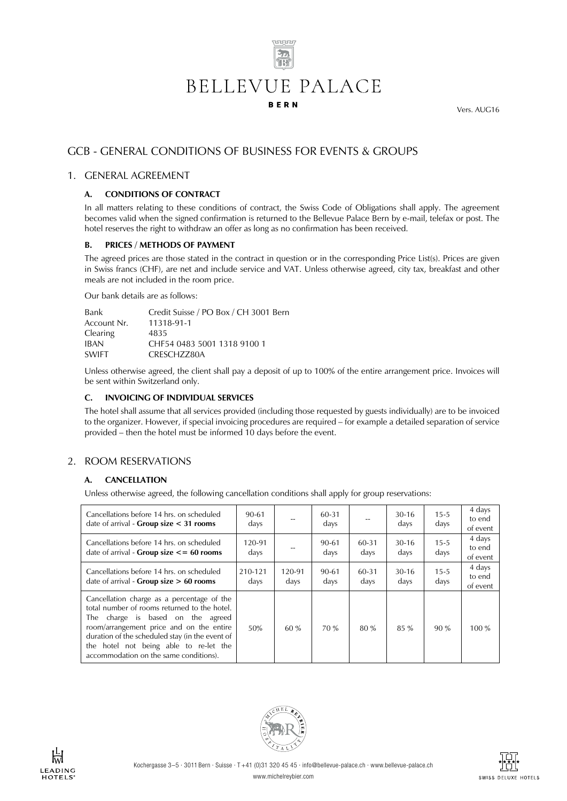

Vers. AUG16

# GCB - GENERAL CONDITIONS OF BUSINESS FOR EVENTS & GROUPS

#### 1. GENERAL AGREEMENT

#### **A. CONDITIONS OF CONTRACT**

In all matters relating to these conditions of contract, the Swiss Code of Obligations shall apply. The agreement becomes valid when the signed confirmation is returned to the Bellevue Palace Bern by e-mail, telefax or post. The hotel reserves the right to withdraw an offer as long as no confirmation has been received.

#### **B. PRICES / METHODS OF PAYMENT**

The agreed prices are those stated in the contract in question or in the corresponding Price List(s). Prices are given in Swiss francs (CHF), are net and include service and VAT. Unless otherwise agreed, city tax, breakfast and other meals are not included in the room price.

Our bank details are as follows:

| Bank            | Credit Suisse / PO Box / CH 3001 Bern |
|-----------------|---------------------------------------|
| Account Nr.     | 11318-91-1                            |
| <b>Clearing</b> | 4835                                  |
| <b>IBAN</b>     | CHE54 0483 5001 1318 9100 1           |
| <b>SWIFT</b>    | CRESCH7780A                           |

Unless otherwise agreed, the client shall pay a deposit of up to 100% of the entire arrangement price. Invoices will be sent within Switzerland only.

#### **C. INVOICING OF INDIVIDUAL SERVICES**

The hotel shall assume that all services provided (including those requested by guests individually) are to be invoiced to the organizer. However, if special invoicing procedures are required – for example a detailed separation of service provided – then the hotel must be informed 10 days before the event.

# 2. ROOM RESERVATIONS

#### **A. CANCELLATION**

Unless otherwise agreed, the following cancellation conditions shall apply for group reservations:

| Cancellations before 14 hrs. on scheduled<br>date of arrival - Group size $<$ 31 rooms                                                                                                                                                                                                                             | 90-61<br>days   |                | 60-31<br>days |               | $30 - 16$<br>days | $15 - 5$<br>days | 4 days<br>to end<br>of event |
|--------------------------------------------------------------------------------------------------------------------------------------------------------------------------------------------------------------------------------------------------------------------------------------------------------------------|-----------------|----------------|---------------|---------------|-------------------|------------------|------------------------------|
| Cancellations before 14 hrs. on scheduled<br>date of arrival - Group size $\leq$ = 60 rooms                                                                                                                                                                                                                        | 120-91<br>days  |                | 90-61<br>days | 60-31<br>days | $30 - 16$<br>days | $15 - 5$<br>days | 4 days<br>to end<br>of event |
| Cancellations before 14 hrs. on scheduled<br>date of arrival - Group size $> 60$ rooms                                                                                                                                                                                                                             | 210-121<br>days | 120-91<br>days | 90-61<br>days | 60-31<br>days | $30 - 16$<br>days | $15 - 5$<br>days | 4 days<br>to end<br>of event |
| Cancellation charge as a percentage of the<br>total number of rooms returned to the hotel.<br>The charge is based on the agreed<br>room/arrangement price and on the entire<br>duration of the scheduled stay (in the event of<br>the hotel not being able to re-let the<br>accommodation on the same conditions). | 50%             | 60 %           | 70 %          | 80 %          | 85 %              | 90%              | 100 %                        |





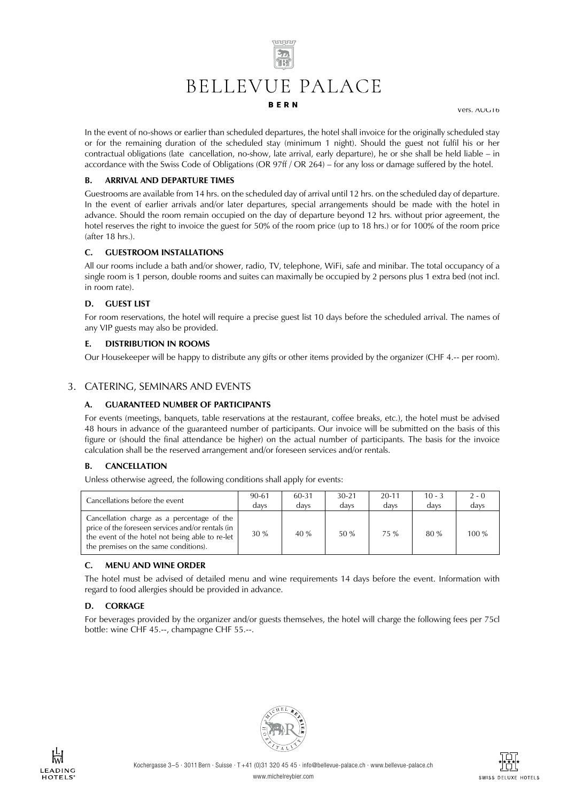

Vers. AUG16

In the event of no-shows or earlier than scheduled departures, the hotel shall invoice for the originally scheduled stay or for the remaining duration of the scheduled stay (minimum 1 night). Should the guest not fulfil his or her contractual obligations (late cancellation, no-show, late arrival, early departure), he or she shall be held liable – in accordance with the Swiss Code of Obligations (OR 97ff / OR 264) – for any loss or damage suffered by the hotel.

#### **B. ARRIVAL AND DEPARTURE TIMES**

Guestrooms are available from 14 hrs. on the scheduled day of arrival until 12 hrs. on the scheduled day of departure. In the event of earlier arrivals and/or later departures, special arrangements should be made with the hotel in advance. Should the room remain occupied on the day of departure beyond 12 hrs. without prior agreement, the hotel reserves the right to invoice the guest for 50% of the room price (up to 18 hrs.) or for 100% of the room price (after 18 hrs.).

#### **C. GUESTROOM INSTALLATIONS**

All our rooms include a bath and/or shower, radio, TV, telephone, WiFi, safe and minibar. The total occupancy of a single room is 1 person, double rooms and suites can maximally be occupied by 2 persons plus 1 extra bed (not incl. in room rate).

#### **D. GUEST LIST**

For room reservations, the hotel will require a precise guest list 10 days before the scheduled arrival. The names of any VIP guests may also be provided.

#### **E. DISTRIBUTION IN ROOMS**

Our Housekeeper will be happy to distribute any gifts or other items provided by the organizer (CHF 4.-- per room).

#### 3. CATERING, SEMINARS AND EVENTS

#### **A. GUARANTEED NUMBER OF PARTICIPANTS**

For events (meetings, banquets, table reservations at the restaurant, coffee breaks, etc.), the hotel must be advised 48 hours in advance of the guaranteed number of participants. Our invoice will be submitted on the basis of this figure or (should the final attendance be higher) on the actual number of participants. The basis for the invoice calculation shall be the reserved arrangement and/or foreseen services and/or rentals.

#### **B. CANCELLATION**

Unless otherwise agreed, the following conditions shall apply for events:

| Cancellations before the event                                                                                                                                                              | 90-61 | 60-31 | $30-21$ | $20 - 11$ | $10 - 3$ | $2 - 0$ |
|---------------------------------------------------------------------------------------------------------------------------------------------------------------------------------------------|-------|-------|---------|-----------|----------|---------|
|                                                                                                                                                                                             | davs  | davs  | davs    | davs      | davs     | davs    |
| Cancellation charge as a percentage of the<br>price of the foreseen services and/or rentals (in<br>the event of the hotel not being able to re-let<br>the premises on the same conditions). | 30 %  | 40 %  | 50 %    | 75 %      | 80%      | $100\%$ |

#### **C. MENU AND WINE ORDER**

The hotel must be advised of detailed menu and wine requirements 14 days before the event. Information with regard to food allergies should be provided in advance.

#### **D. CORKAGE**

For beverages provided by the organizer and/or guests themselves, the hotel will charge the following fees per 75cl bottle: wine CHF 45.--, champagne CHF 55.--.



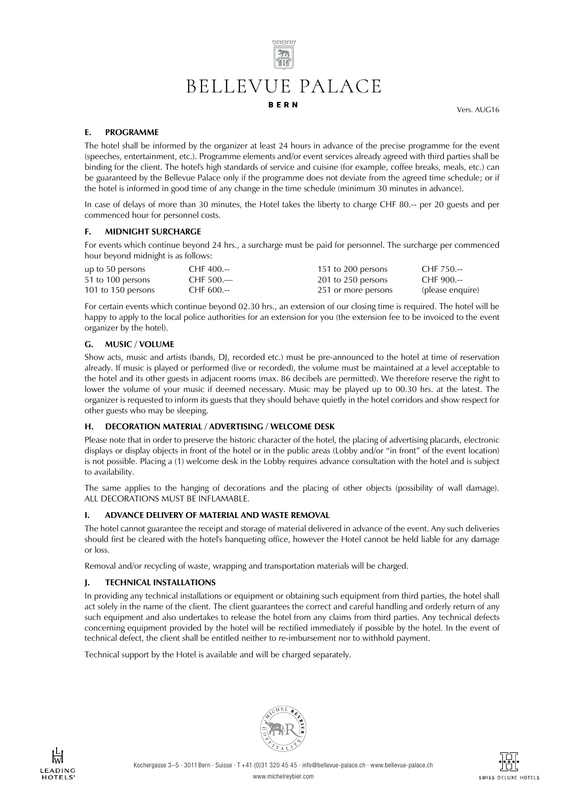# $\overline{z_{\rm in}}$ BELLEVUE PALACE **BERN**

<u>www.</u>

Vers. AUG16

#### **E. PROGRAMME**

The hotel shall be informed by the organizer at least 24 hours in advance of the precise programme for the event (speeches, entertainment, etc.). Programme elements and/or event services already agreed with third parties shall be binding for the client. The hotel's high standards of service and cuisine (for example, coffee breaks, meals, etc.) can be guaranteed by the Bellevue Palace only if the programme does not deviate from the agreed time schedule; or if the hotel is informed in good time of any change in the time schedule (minimum 30 minutes in advance).

In case of delays of more than 30 minutes, the Hotel takes the liberty to charge CHF 80.-- per 20 guests and per commenced hour for personnel costs.

#### **F. MIDNIGHT SURCHARGE**

For events which continue beyond 24 hrs., a surcharge must be paid for personnel. The surcharge per commenced hour beyond midnight is as follows:

| up to 50 persons   | $CHF$ 400.-- | 151 to 200 persons  | $CHF 750--$      |
|--------------------|--------------|---------------------|------------------|
| 51 to 100 persons  | CHF $500 -$  | 201 to 250 persons  | CHF 900.--       |
| 101 to 150 persons | CHF 600.--   | 251 or more persons | (please enquire) |

For certain events which continue beyond 02.30 hrs., an extension of our closing time is required. The hotel will be happy to apply to the local police authorities for an extension for you (the extension fee to be invoiced to the event organizer by the hotel).

#### **G. MUSIC / VOLUME**

Show acts, music and artists (bands, DJ, recorded etc.) must be pre-announced to the hotel at time of reservation already. If music is played or performed (live or recorded), the volume must be maintained at a level acceptable to the hotel and its other guests in adjacent rooms (max. 86 decibels are permitted). We therefore reserve the right to lower the volume of your music if deemed necessary. Music may be played up to 00.30 hrs. at the latest. The organizer is requested to inform its guests that they should behave quietly in the hotel corridors and show respect for other guests who may be sleeping.

#### **H. DECORATION MATERIAL / ADVERTISING / WELCOME DESK**

Please note that in order to preserve the historic character of the hotel, the placing of advertising placards, electronic displays or display objects in front of the hotel or in the public areas (Lobby and/or "in front" of the event location) is not possible. Placing a (1) welcome desk in the Lobby requires advance consultation with the hotel and is subject to availability.

The same applies to the hanging of decorations and the placing of other objects (possibility of wall damage). ALL DECORATIONS MUST BE INFLAMABLE.

# **I. ADVANCE DELIVERY OF MATERIAL AND WASTE REMOVAL**

The hotel cannot guarantee the receipt and storage of material delivered in advance of the event. Any such deliveries should first be cleared with the hotel's banqueting office, however the Hotel cannot be held liable for any damage or loss.

Removal and/or recycling of waste, wrapping and transportation materials will be charged.

# **J. TECHNICAL INSTALLATIONS**

In providing any technical installations or equipment or obtaining such equipment from third parties, the hotel shall act solely in the name of the client. The client guarantees the correct and careful handling and orderly return of any such equipment and also undertakes to release the hotel from any claims from third parties. Any technical defects concerning equipment provided by the hotel will be rectified immediately if possible by the hotel. In the event of technical defect, the client shall be entitled neither to re-imbursement nor to withhold payment.

Technical support by the Hotel is available and will be charged separately.